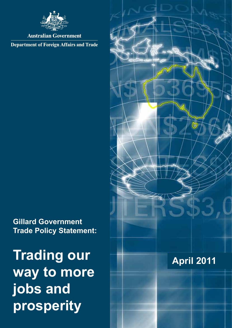

## **Australian Government**

**Department of Foreign Affairs and Trade** 

# **Gillard Government Trade Policy Statement:**

**Trading our way to more jobs and prosperity**

# **April 2011**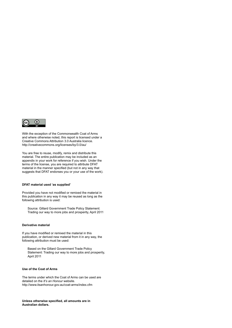

With the exception of the Commonwealth Coat of Arms and where otherwise noted, this report is licensed under a Creative Commons Attribution 3.0 Australia licence. http://creativecommons.org/licenses/by/3.0/au/

You are free to reuse, modify, remix and distribute this material. The entire publication may be included as an appendix in your work for reference if you wish. Under the terms of the license, you are required to attribute DFAT material in the manner specified (but not in any way that suggests that DFAT endorses you or your use of the work).

#### **DFAT material used 'as supplied'**

Provided you have not modified or remixed the material in this publication in any way it may be reused as long as the following attribution is used:

Source: Gillard Government Trade Policy Statement: Trading our way to more jobs and prosperity, April 2011

#### **Derivative material**

If you have modified or remixed the material in this publication, or derived new material from it in any way, the following attribution must be used:

Based on the Gillard Government Trade Policy Statement: Trading our way to more jobs and prosperity, April 2011

#### **Use of the Coat of Arms**

The terms under which the Coat of Arms can be used are detailed on the *It's an Honour* website. http://www.itsanhonour.gov.au/coat-arms/index.cfm

**Unless otherwise specified, all amounts are in Australian dollars.**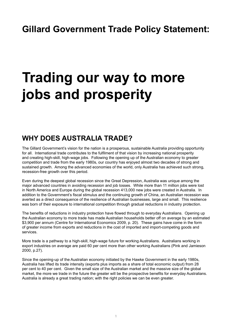# **Trading our way to more jobs and prosperity**

# **WHY DOES AUSTRALIA TRADE?**

The Gillard Government's vision for the nation is a prosperous, sustainable Australia providing opportunity for all. International trade contributes to the fulfilment of that vision by increasing national prosperity and creating high-skill, high-wage jobs. Following the opening up of the Australian economy to greater competition and trade from the early 1980s, our country has enjoyed almost two decades of strong and sustained growth. Among the advanced economies of the world, only Australia has achieved such strong, recession-free growth over this period.

Even during the deepest global recession since the Great Depression, Australia was unique among the major advanced countries in avoiding recession and job losses. While more than 11 million jobs were lost in North America and Europe during the global recession 413,000 new jobs were created in Australia. In addition to the Government's fiscal stimulus and the continuing growth of China, an Australian recession was averted as a direct consequence of the resilience of Australian businesses, large and small. This resilience was born of their exposure to international competition through gradual reductions in industry protection.

The benefits of reductions in industry protection have flowed through to everyday Australians. Opening up the Australian economy to more trade has made Australian households better off on average by an estimated \$3,900 per annum (Centre for International Economics 2009, p. 20). These gains have come in the form of greater income from exports and reductions in the cost of imported and import-competing goods and services.

More trade is a pathway to a high-skill, high-wage future for working Australians. Australians working in export industries on average are paid 60 per cent more than other working Australians (Pink and Jamieson 2000, p.27).

Since the opening-up of the Australian economy initiated by the Hawke Government in the early 1980s, Australia has lifted its trade intensity (exports plus imports as a share of total economic output) from 28 per cent to 40 per cent. Given the small size of the Australian market and the massive size of the global market, the more we trade in the future the greater will be the prospective benefits for everyday Australians. Australia is already a great trading nation; with the right policies we can be even greater.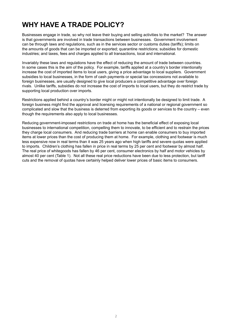# **WHY HAVE A TRADE POLICY?**

Businesses engage in trade, so why not leave their buying and selling activities to the market? The answer is that governments are involved in trade transactions between businesses. Government involvement can be through laws and regulations, such as in the services sector or customs duties (tariffs); limits on the amounts of goods that can be imported or exported; quarantine restrictions; subsidies for domestic industries; and taxes, fees and charges applied to all transactions, local and international.

Invariably these laws and regulations have the effect of reducing the amount of trade between countries. In some cases this is the aim of the policy. For example, tariffs applied at a country's border intentionally increase the cost of imported items to local users, giving a price advantage to local suppliers. Government subsidies to local businesses, in the form of cash payments or special tax concessions not available to foreign businesses, are usually designed to give local producers a competitive advantage over foreign rivals. Unlike tariffs, subsidies do not increase the cost of imports to local users, but they do restrict trade by supporting local production over imports.

Restrictions applied behind a country's border might or might not intentionally be designed to limit trade. A foreign business might find the approval and licensing requirements of a national or regional government so complicated and slow that the business is deterred from exporting its goods or services to the country – even though the requirements also apply to local businesses.

Reducing government-imposed restrictions on trade at home has the beneficial effect of exposing local businesses to international competition, compelling them to innovate, to be efficient and to restrain the prices they charge local consumers. And reducing trade barriers at home can enable consumers to buy imported items at lower prices than the cost of producing them at home. For example, clothing and footwear is much less expensive now in real terms than it was 25 years ago when high tariffs and severe quotas were applied to imports. Children's clothing has fallen in price in real terms by 25 per cent and footwear by almost half. The real price of whitegoods has fallen by 46 per cent, consumer electronics by half and motor vehicles by almost 40 per cent (Table 1). Not all these real price reductions have been due to less protection, but tariff cuts and the removal of quotas have certainly helped deliver lower prices of basic items to consumers.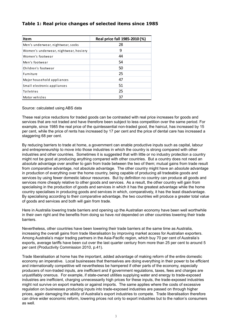#### **Table 1: Real price changes of selected items since 1985**

| Item                                  | Real price fall 1985-2010 (%) |
|---------------------------------------|-------------------------------|
| Men's underwear, nightwear, socks     | 28                            |
| Women's underwear, nightwear, hosiery | 9                             |
| Women's footwear                      | 44                            |
| Men's footwear                        | 54                            |
| Children's footwear                   | 50                            |
| Furniture                             | 25                            |
| Major household appliances            | 47                            |
| Small electronic appliances           | 51                            |
| <b>Toiletries</b>                     | 25                            |
| Motor vehicles                        | 37                            |

Source: calculated using ABS data

These real price reductions for traded goods can be contrasted with real price increases for goods and services that are not traded and have therefore been subject to less competition over the same period. For example, since 1985 the real price of the quintessential non-traded good, the haircut, has increased by 15 per cent, while the price of rents has increased by 17 per cent and the price of dental care has increased a staggering 68 per cent.

By reducing barriers to trade at home, a government can enable productive inputs such as capital, labour and entrepreneurship to move into those industries in which the country is strong compared with other industries and other countries. Sometimes it is suggested that with little or no industry protection a country might not be good at producing anything compared with other countries. But a country does not need an *absolute* advantage over another to gain from trade between the two of them; mutual gains from trade result from *comparative* advantage, not absolute advantage. The other country might have an *absolute* advantage in production of everything over the home country, being capable of producing all tradeable goods and services by using fewer domestic labour resources. But by definition no country can produce all goods and services more cheaply relative to other goods and services. As a result, the other country will gain from specialising in the production of goods and services in which it has the greatest advantage while the home country specialises in producing goods and services in which, comparatively, it has the least disadvantage. By specialising according to their *comparative* advantage, the two countries will produce a greater total value of goods and services and both will gain from trade.

Here in Australia lowering trade barriers and opening up the Australian economy have been well worthwhile in their own right and the benefits from doing so have *not* depended on other countries lowering their trade barriers.

Nevertheless, other countries have been lowering their trade barriers at the same time as Australia, increasing the overall gains from trade liberalisation by improving market access for Australian exporters. Among Australia's major trading partners in the Asia-Pacific region, which buy 70 per cent of Australia's exports, average tariffs have been cut over the last quarter century from more than 25 per cent to around 5 per cent (Productivity Commission 2010, p.41).

Trade liberalisation at home has the important, added advantage of making reform of the entire domestic economy an imperative. Local businesses that themselves are doing everything in their power to be efficient and internationally competitive will nevertheless be hampered if other parts of the economy, especially producers of non-traded inputs, are inefficient and if government regulations, taxes, fees and charges are unjustifiably onerous. For example, if state-owned utilities supplying water and energy to trade-exposed industries are inefficient, charging unnecessarily high prices for these inputs, the trade-exposed industries might not survive on export markets or against imports. The same applies where the costs of excessive regulation on businesses producing inputs into trade-exposed industries are passed on through higher prices, again damaging the ability of Australia's export industries to compete. Trade liberalisation therefore can drive wider economic reform, lowering prices not only to export industries but to the nation's consumers as well.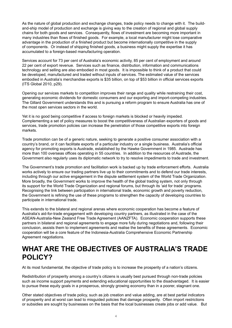As the nature of global production and exchange changes, trade policy needs to change with it. The buildand-ship model of production and exchange is giving way to the creation of regional and global supply chains for both goods and services. Consequently, flows of investment are becoming more important in many industries than flows of finished goods. For example, a local manufacturer might lose comparative advantage in the production of a finished product but become internationally competitive in the supply of components. Or instead of shipping finished goods, a business might supply the expertise it has accumulated to a foreign-based manufacturing operation.

Services account for 73 per cent of Australia's economic activity, 85 per cent of employment and around 22 per cent of export revenue. Services such as finance, distribution, information and communications technology and selling are also embodied in most goods. It is impossible to think of a product that could be developed, manufactured and traded without inputs of services. The estimated value of the services embodied in Australia's merchandise exports is \$35 billion, on top of \$53 billion in official services exports (ITS Global 2010, p29).

Opening our services markets to competition improves their range and quality while restraining their cost, generating economic dividends for domestic consumers and our exporting and import-competing industries. The Gillard Government understands this and is pursuing a reform program to ensure Australia has one of the most open services sectors in the world.

Yet it is no good being competitive if access to foreign markets is blocked or heavily impeded. Complementing a set of policy measures to boost the competitiveness of Australian exporters of goods and services, trade promotion policies can increase the penetration of those competitive exports into foreign markets.

Trade promotion can be of a generic nature, seeking to generate a positive consumer association with a country's brand, or it can facilitate exports of a particular industry or a single business. Australia's official agency for promoting exports is Austrade, established by the Hawke Government in 1985. Austrade has more than 100 overseas offices operating in 55 countries. In addition to the resources of Austrade, the Government also regularly uses its diplomatic network to try to resolve impediments to trade and investment.

The Government's trade promotion and facilitation work is backed up by trade enforcement efforts. Australia works actively to ensure our trading partners live up to their commitments and to defend our trade interests, including through our active engagement in the dispute settlement system of the World Trade Organization. More broadly, the Government works to improve the health of the global trading system, not only through its support for the World Trade Organization and regional forums, but through its 'aid for trade' programs. Recognising the link between participation in international trade, economic growth and poverty reduction, the Government is refining the use of these programs to strengthen the capacity of developing countries to participate in international trade.

This extends to the bilateral and regional arenas where economic cooperation has become a feature of Australia's aid-for-trade engagement with developing country partners, as illustrated in the case of the ASEAN-Australia-New Zealand Free Trade Agreement (AANZFTA). Economic cooperation supports these partners in bilateral and regional agreements to engage more fully during negotiations and, following their conclusion, assists them to implement agreements and realise the benefits of these agreements. Economic cooperation will be a core feature of the Indonesia-Australia Comprehensive Economic Partnership Agreement negotiations.

## **WHAT ARE THE OBJECTIVES OF AUSTRALIA'S TRADE POLICY?**

At its most fundamental, the objective of trade policy is to increase the prosperity of a nation's citizens.

Redistribution of prosperity among a country's citizens is usually best pursued through non-trade policies such as income support payments and extending educational opportunities to the disadvantaged. It is easier to pursue these equity goals in a prosperous, strongly growing economy than in a poorer, stagnant one.

Other stated objectives of trade policy, such as job creation and value adding, are at best partial indicators of prosperity and at worst can lead to misguided policies that damage prosperity. Often import restrictions or subsidies are sought by businesses on the basis that the local businesses create jobs or add value. But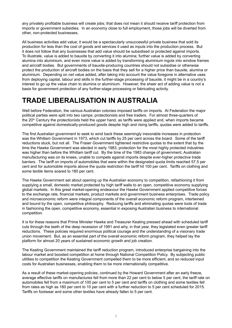any privately profitable business will create jobs; that does not mean it should receive tariff protection from imports or government subsidies. In an economy close to full employment, those jobs will be diverted from other, non-protected businesses.

All business activities add value; it would be a spectacularly unsuccessful private business that sold its production for less than the cost of goods and services it used as inputs into the production process. But it does not follow that any businesses that add value should be subsidised or protected against imports. To illustrate, value is added to bauxite by converting it into alumina; further value is added by converting alumina into aluminium, and even more value is added by transforming aluminium ingots into window frames and aircraft bodies. But governments of bauxite-producing countries should not subsidise or otherwise protect the production of aircraft bodies on the basis that they sell for a higher price than bauxite, alumina or aluminium. Depending on *net* value added, after taking into account the value foregone in alternative uses from deploying capital, labour and skills in the further-stage processing of bauxite, it might be in a country's interest to go up the value chain to alumina or aluminium. However, the sheer act of adding value is not a basis for government protection of any further-stage processing or fabricating activity.

# **TRADE LIBERALISATION IN AUSTRALIA**

Well before Federation, the various Australian colonies imposed tariffs on imports. At Federation the major political parties were split into two camps: protectionists and free traders. For almost three-quarters of the 20<sup>th</sup> Century the protectionists held the upper hand, as tariffs were applied and, when imports became competitive against domestically-produced goods despite high and rising tariffs, quotas were added to tariffs.

The first Australian government to seek to wind back these seemingly inexorable increases in protection was the Whitlam Government in 1973, which cut tariffs by 25 per cent across the board. Some of the tariff reductions stuck, but not all. The Fraser Government tightened restrictive quotas to the extent that by the time the Hawke Government was elected in early 1983, protection for the most highly protected industries was higher than before the Whitlam tariff cut. By the time of the 1983 change of government, Australian manufacturing was on its knees, unable to compete against imports despite ever-higher protective trade barriers. The tariff on imports of automobiles that were within the designated quota limits reached 57.5 per cent and for automobile imports above the quota restriction the tariff hit 100 per cent. Tariffs on clothing and some textile items soared to 180 per cent.

The Hawke Government set about opening up the Australian economy to competition, refashioning it from supplying a small, domestic market protected by high tariff walls to an open, competitive economy supplying global markets. In this great market-opening endeavour the Hawke Government applied competitive forces to the exchange rate, financial markets, product markets and government business enterprises. Trade policy and microeconomic reform were integral components of the overall economic reform program, intertwined and bound by the open, competitive philosophy. Reducing tariffs and eliminating quotas were tools of trade in fashioning the open, competitive economy, essential in exposing Australian business to international competition.

It is for these reasons that Prime Minister Hawke and Treasurer Keating pressed ahead with scheduled tariff cuts through the teeth of the deep recession of 1991 and why, in that year, they legislated even greater tariff reductions. These policies required enormous political courage and the understanding of a visionary trade union movement. But, as an essential part of the overall economic reform program, they helped lay the platform for almost 20 years of sustained economic growth and job creation.

The Keating Government maintained the tariff reduction program, introduced enterprise bargaining into the labour market and boosted competition at home through National Competition Policy. By subjecting public utilities to competition the Keating Government compelled them to be more efficient, and so reduced input costs for Australian businesses, enabling them to be more internationally competitive.

As a result of these market-opening policies, continued by the Howard Government after an early freeze, average effective tariffs on manufactures fell from more than 22 per cent to below 5 per cent, the tariff rate on automobiles fell from a maximum of 100 per cent to 5 per cent and tariffs on clothing and some textiles fell from rates as high as 180 per cent to 10 per cent with a further reduction to 5 per cent scheduled for 2015. Tariffs on footwear and some other textiles have already fallen to 5 per cent.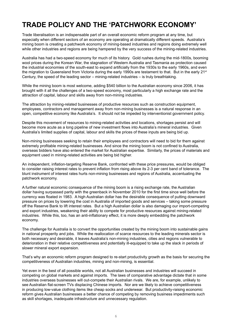# **TRADE POLICY AND THE 'PATCHWORK ECONOMY'**

Trade liberalisation is an indispensable part of an overall economic reform program at any time, but especially when different sectors of an economy are operating at dramatically different speeds. Australia's mining boom is creating a patchwork economy of mining-based industries and regions doing extremely well while other industries and regions are being hampered by the very success of the mining-related industries.

Australia has had a two-speed economy for much of its history. Gold rushes during the mid-1800s, booming wool prices during the Korean War, the stagnation of Western Australia and Tasmania as protection caused the industrial economies of the south-east to expand artificially from the 1930s to the early 1960s, and even the migration to Queensland from Victoria during the early 1990s are testament to that. But in the early 21<sup>st</sup> Century, the speed of the leading sector – mining-related industries – is truly breathtaking.

While the mining boom is most welcome, adding \$540 billion to the Australian economy since 2006, it has brought with it all the challenges of a two-speed economy, most particularly a high exchange rate and the attraction of capital, labour and skills away from non-mining industries.

The attraction by mining-related businesses of productive resources such as construction equipment, employees, contractors and management away from non-mining businesses is a natural response in an open, competitive economy like Australia's. It should not be impeded by interventionist government policy.

Despite this movement of resources to mining-related activities and locations, shortages persist and will become more acute as a long pipeline of new investment flows into Australia's mineral industries. Given Australia's limited supplies of capital, labour and skills the prices of these inputs are being bid up.

Non-mining businesses seeking to retain their employees and contractors will need to bid for them against extremely profitable mining-related businesses. And since the mining boom is not confined to Australia, overseas bidders have also entered the market for Australian expertise. Similarly, the prices of materials and equipment used in mining-related activities are being bid higher.

An independent, inflation-targeting Reserve Bank, confronted with these price pressures, would be obliged to consider raising interest rates to prevent inflation from rising above its 2-3 per cent band of tolerance. The blunt instrument of interest rates hurts non-mining businesses and regions of Australia, accentuating the patchwork economy.

A further natural economic consequence of the mining boom is a rising exchange rate, the Australian dollar having surpassed parity with the greenback in November 2010 for the first time since well before the currency was floated in 1983. A high Australian dollar has the desirable consequence of putting downward pressure on prices by lowering the cost in Australia of imported goods and services – taking some pressure off the Reserve Bank to lift interest rates. But a high Australian dollar is also damaging our import-competing and export industries, weakening their ability to compete for productive resources against mining-related industries. While this, too, has an anti-inflationary effect, it is more deeply embedding the patchwork economy.

The challenge for Australia is to convert the opportunities created by the mining boom into sustainable gains in national prosperity and jobs. While the reallocation of scarce resources to the leading minerals sector is both necessary and desirable, it leaves Australia's non-mining industries, cities and regions vulnerable to deterioration in their relative competitiveness and potentially ill-equipped to take up the slack in periods of slower mineral export expansion.

That's why an economic reform program designed to re-start productivity growth as the basis for securing the competitiveness of Australian industries, mining and non-mining, is essential.

Yet even in the best of all possible worlds, not all Australian businesses and industries will succeed in competing on global markets and against imports. The laws of comparative advantage dictate that in some industries overseas businesses will out-compete their Australian rivals. We are, for example, unlikely to see Australian flat-screen TVs displacing Chinese imports. Nor are we likely to achieve competitiveness in producing low-value clothing items like cheap socks and underwear. But productivity-raising economic reform gives Australian businesses a better chance of competing by removing business impediments such as skill shortages, inadequate infrastructure and unnecessary regulation.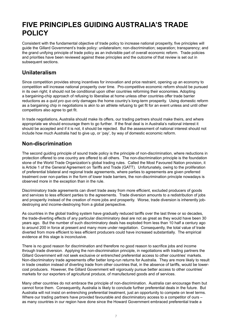# **FIVE PRINCIPLES GUIDING AUSTRALIA'S TRADE POLICY**

Consistent with the fundamental objective of trade policy to increase national prosperity, five principles will guide the Gillard Government's trade policy: unilateralism; non-discrimination; separation; transparency; and the grand unifying principle of trade policy as an indivisible part of overall economic reform. Trade policies and priorities have been reviewed against these principles and the outcome of that review is set out in subsequent sections.

#### **Unilateralism**

Since competition provides strong incentives for innovation and price restraint, opening up an economy to competition will increase national prosperity over time. Pro-competitive economic reform should be pursued in its own right; it should not be conditional upon other countries reforming their economies. Adopting a bargaining-chip approach of refusing to liberalise at home unless other countries offer trade barrier reductions as a *quid pro quo* only damages the home country's long-term prosperity. Using domestic reform as a bargaining chip in negotiations is akin to an athlete refusing to get fit for an event unless and until other competitors also agree to get fit.

In trade negotiations, Australia should make its offers, our trading partners should make theirs, and where appropriate we should encourage them to go further. If the final deal is in Australia's national interest it should be accepted and if it is not, it should be rejected. But the assessment of national interest should not include how much Australia had to give up, or 'pay', by way of domestic economic reform.

## **Non-discrimination**

The second guiding principle of sound trade policy is the principle of non-discrimination, where reductions in protection offered to one country are offered to all others. The non-discrimination principle is the foundation stone of the World Trade Organization's global trading rules. Called the Most Favoured Nation provision, it is Article 1 of the General Agreement on Tariffs and Trade (GATT). Unfortunately, owing to the proliferation of preferential bilateral and regional trade agreements, where parties to agreements are given preferred treatment over non-parties in the form of lower trade barriers, the non-discrimination principle nowadays is observed more in the exception than in the rule.

Discriminatory trade agreements can divert trade away from more efficient, excluded producers of goods and services to less efficient parties to the agreements. Trade diversion amounts to a redistribution of jobs and prosperity instead of the creation of more jobs and prosperity. Worse, trade diversion is inherently jobdestroying and income-destroying from a global perspective.

As countries in the global trading system have gradually reduced tariffs over the last three or so decades, the trade-diverting effects of any particular discriminatory deal are not as great as they would have been 30 years ago. But the number of such discriminatory deals has exploded from less than 10 half a century ago to around 200 in force at present and many more under negotiation. Consequently, the total value of trade diverted from more efficient to less efficient producers could have increased substantially. The empirical evidence at this stage is inconclusive.

There is no good reason for discrimination and therefore no good reason to sacrifice jobs and income through trade diversion. Applying the non-discrimination principle, in negotiations with trading partners the Gillard Government will not seek exclusive or entrenched preferential access to other countries' markets. Non-discriminatory trade agreements offer better long-run returns for Australia. They are more likely to result in trade creation instead of diverting trade from other countries that, in the absence of tariffs, would be lowercost producers. However, the Gillard Government will vigorously pursue better access to other countries' markets for our exporters of agricultural produce, of manufactured goods and of services.

Many other countries do not embrace the principle of non-discrimination. Australia can encourage them but cannot force them. Consequently, Australia is likely to conclude further preferential deals in the future. But Australia will not insist on entrenching preferential treatment, just an opportunity to compete on level terms. Where our trading partners have provided favourable and discriminatory access to a competitor of ours – as many countries in our region have done since the Howard Government embraced preferential trade a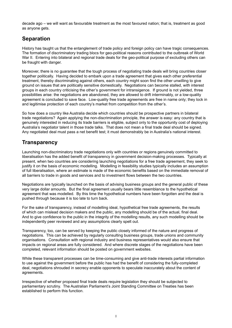decade ago – we will want as favourable treatment as the most favoured nation; that is, treatment as good as anyone gets.

### **Separation**

History has taught us that the entanglement of trade policy and foreign policy can have tragic consequences. The formation of discriminatory trading blocs for geo-political reasons contributed to the outbreak of World War II. Entering into bilateral and regional trade deals for the geo-political purpose of excluding others can be fraught with danger.

Moreover, there is no guarantee that the tough process of negotiating trade deals will bring countries closer together politically. Having decided to embark upon a trade agreement that gives each other preferential treatment, thereby discriminating against others, each country might soon find the other unwilling to give ground on issues that are politically sensitive domestically. Negotiations can become stalled, with interest groups in each country criticising the other's government for intransigence. If ground is not yielded, three possibilities arise: the negotiations are abandoned, they are allowed to drift interminably, or a low-quality agreement is concluded to save face. Low-quality free trade agreements are free in name only; they lock in and legitimise protection of each country's market from competition from the other's.

So how does a country like Australia decide which countries should be prospective partners in bilateral trade negotiations? Again applying the non-discrimination principle, the answer is easy: any country that is genuinely interested in reducing its trade barriers is eligible, subject only to the opportunity cost of deploying Australia's negotiator talent in those trade talks. That does not mean a final trade deal should be signed. Any negotiated deal must pass a net benefit test; it must demonstrably be in Australia's national interest.

#### **Transparency**

Launching non-discriminatory trade negotiations only with countries or regions genuinely committed to liberalisation has the added benefit of transparency in government decision-making processes. Typically at present, when two countries are considering launching negotiations for a free trade agreement, they seek to justify it on the basis of economic modelling. Modelling in feasibility studies typically includes an assumption of full liberalisation, where an estimate is made of the economic benefits based on the immediate removal of all barriers to trade in goods and services and to investment flows between the two countries.

Negotiations are typically launched on the basis of advising business groups and the general public of these very large dollar amounts. But the final agreement usually bears little resemblance to the hypothetical agreement that was modelled. By this time the hypothetical numbers have been forgotten and the deal is pushed through because it is too late to turn back.

For the sake of transparency, instead of modelling ideal, hypothetical free trade agreements, the results of which can mislead decision makers and the public, any modelling should be of the actual, final deal. And to give confidence to the public in the integrity of the modelling results, any such modelling should be independently peer reviewed and any assumptions clearly spelt out.

Transparency, too, can be served by keeping the public closely informed of the nature and progress of negotiations. This can be achieved by regularly consulting business groups, trade unions and community organisations. Consultation with regional industry and business representatives would also ensure that impacts on regional areas are fully considered. And where discrete stages of the negotiations have been completed, relevant information should be posted on government websites.

While these transparent processes can be time-consuming and give anti-trade interests partial information to use against the government before the public has had the benefit of considering the fully-completed deal, negotiations shrouded in secrecy enable opponents to speculate inaccurately about the content of agreements.

Irrespective of whether proposed final trade deals require legislation they should be subjected to parliamentary scrutiny. The Australian Parliament's Joint Standing Committee on Treaties has been established to perform this function.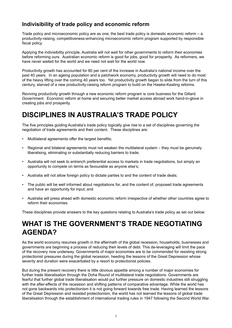#### **Indivisibility of trade policy and economic reform**

Trade policy and microeconomic policy are as one; the best trade policy is domestic economic reform – a productivity-raising, competitiveness-enhancing microeconomic reform program supported by responsible fiscal policy.

Applying the indivisibility principle, Australia will not wait for other governments to reform their economies before reforming ours. Australian economic reform is good for jobs, good for prosperity. As reformers, we have never waited for the world and we need not wait for the world now.

Productivity growth has accounted for 80 per cent of the increase in Australia's national income over the past 40 years. In an ageing population and a patchwork economy, productivity growth will need to do most of the heavy lifting over the coming 40 years too. Yet productivity growth began to slide from the turn of this century, starved of a new productivity-raising reform program to build on the Hawke-Keating reforms.

Reviving productivity growth through a new economic reform program is core business for the Gillard Government. Economic reform at home and securing better market access abroad work hand-in-glove in creating jobs and prosperity.

# **DISCIPLINES IN AUSTRALIA'S TRADE POLICY**

The five principles guiding Australia's trade policy logically give rise to a set of disciplines governing the negotiation of trade agreements and their content. These disciplines are:

- Multilateral agreements offer the largest benefits;
- Regional and bilateral agreements must not weaken the multilateral system they must be genuinely liberalising, eliminating or substantially reducing barriers to trade;
- Australia will not seek to entrench preferential access to markets in trade negotiations, but simply an opportunity to compete on terms as favourable as anyone else's;
- Australia will not allow foreign policy to dictate parties to and the content of trade deals;
- The public will be well informed about negotiations for, and the content of, proposed trade agreements and have an opportunity for input; and
- Australia will press ahead with domestic economic reform irrespective of whether other countries agree to reform their economies.

These disciplines provide answers to the key questions relating to Australia's trade policy as set out below.

## **WHAT IS THE GOVERNMENT'S TRADE NEGOTIATING AGENDA?**

As the world economy resumes growth in the aftermath of the global recession, households, businesses and governments are beginning a process of reducing their levels of debt. This de-leveraging will limit the pace of the recovery now underway. Governments of major economies are to be commended for resisting strong protectionist pressures during the global recession, heeding the lessons of the Great Depression whose severity and duration were exacerbated by a resort to protectionist policies.

But during the present recovery there is little obvious appetite among a number of major economies for further trade liberalisation through the Doha Round of multilateral trade negotiations. Governments are fearful that further global trade liberalisation would put further pressure on domestic industries still struggling with the after-effects of the recession and shifting patterns of comparative advantage. While the world has not gone backwards into protectionism it is not going forward towards free trade. Having learned the lessons of the Great Depression and resisted protectionism, the world has not learned the lessons of global trade liberalisation through the establishment of international trading rules in 1947 following the Second World War.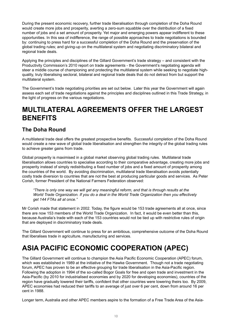During the present economic recovery, further trade liberalisation through completion of the Doha Round would create more jobs and prosperity, averting a zero-sum squabble over the distribution of a fixed number of jobs and a set amount of prosperity. Yet major and emerging powers appear indifferent to these opportunities. In this sea of indifference, the range of possible approaches to trade negotiations is bounded by: continuing to press hard for a successful completion of the Doha Round and the preservation of the global trading rules; and giving-up on the multilateral system and negotiating discriminatory bilateral and regional trade deals.

Applying the principles and disciplines of the Gillard Government's trade strategy – and consistent with the Productivity Commission's 2010 report on trade agreements - the Government's negotiating agenda will steer a middle course of championing and protecting the multilateral system while seeking to negotiate highquality, truly liberalising sectoral, bilateral and regional trade deals that do not detract from but support the multilateral system.

The Government's trade negotiating priorities are set out below. Later this year the Government will again assess each set of trade negotiations against the principles and disciplines outlined in this Trade Strategy, in the light of progress on the various negotiations.

## **MULTILATERAL AGREEMENTS OFFER THE LARGEST BENEFITS**

## **The Doha Round**

A multilateral trade deal offers the greatest prospective benefits. Successful completion of the Doha Round would create a new wave of global trade liberalisation and strengthen the integrity of the global trading rules to achieve greater gains from trade.

Global prosperity is maximised in a global market observing global trading rules. Multilateral trade liberalisation allows countries to specialise according to their comparative advantage, creating more jobs and prosperity instead of simply redistributing a fixed number of jobs and a fixed amount of prosperity among the countries of the world. By avoiding discrimination, multilateral trade liberalisation avoids potentially costly trade diversion to countries that are not the best at producing particular goods and services. As Peter Corish, former President of the National Farmers Federation observed:

*"There is only one way we will get any meaningful reform, and that is through results at the World Trade Organization. If you do a deal in the World Trade Organization then you effectively get 144 FTAs all at once."*

Mr Corish made that statement in 2002. Today, the figure would be 153 trade agreements all at once, since there are now 153 members of the World Trade Organization. In fact, it would be even better than this, because Australia's trade with each of the 153 countries would not be tied up with restrictive rules of origin that are deployed in discriminatory trade deals.

The Gillard Government will continue to press for an ambitious, comprehensive outcome of the Doha Round that liberalises trade in agriculture, manufacturing and services.

# **ASIA PACIFIC ECONOMIC COOPERATION (APEC)**

The Gillard Government will continue to champion the Asia Pacific Economic Cooperation (APEC) forum, which was established in 1989 at the initiative of the Hawke Government. Though not a trade negotiating forum, APEC has proven to be an effective grouping for trade liberalisation in the Asia-Pacific region. Following the adoption in 1994 of the so-called Bogor Goals for free and open trade and investment in the Asia-Pacific (by 2010 for industrialised economies and by 2020 for developing economies), countries of the region have gradually lowered their tariffs, confident that other countries were lowering theirs too. By 2009, APEC economies had reduced their tariffs to an average of just over 6 per cent, down from around 16 per cent in 1988.

Longer term, Australia and other APEC members aspire to the formation of a Free Trade Area of the Asia-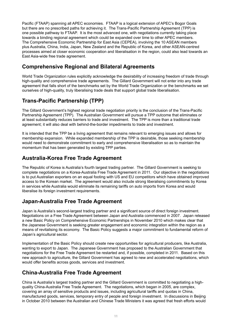Pacific (FTAAP) spanning all APEC economies. FTAAP is a logical extension of APEC's Bogor Goals but there are no prescribed paths for achieving it. The Trans-Pacific Partnership Agreement (TPP) is one possible pathway to FTAAP. It is the most advanced one, with negotiations currently taking place towards a binding regional agreement which could be expanded over time to other APEC members. The Comprehensive Economic Partnership for East Asia (CEPEA), involving the 10 ASEAN members plus Australia, China, India, Japan, New Zealand and the Republic of Korea, and other ASEAN-centred processes aimed at closer economic cooperation and liberalisation in the region, could also lead towards an East Asia-wide free trade agreement.

### **Comprehensive Regional and Bilateral Agreements**

World Trade Organization rules explicitly acknowledge the desirability of increasing freedom of trade through high-quality and comprehensive trade agreements. The Gillard Government will not enter into any trade agreement that falls short of the benchmarks set by the World Trade Organization or the benchmarks we set ourselves of high-quality, truly liberalising trade deals that support global trade liberalisation.

## **Trans-Pacific Partnership (TPP)**

The Gillard Government's highest regional trade negotiation priority is the conclusion of the Trans-Pacific Partnership Agreement (TPP). The Australian Government will pursue a TPP outcome that eliminates or at least substantially reduces barriers to trade and investment. The TPP is more than a traditional trade agreement; it will also deal with behind-the-border impediments to trade and investment.

It is intended that the TPP be a living agreement that remains relevant to emerging issues and allows for membership expansion. While expanded membership of the TPP is desirable, those seeking membership would need to demonstrate commitment to early and comprehensive liberalisation so as to maintain the momentum that has been generated by existing TPP parties.

#### **Australia-Korea Free Trade Agreement**

The Republic of Korea is Australia's fourth largest trading partner. The Gillard Government is seeking to complete negotiations on a Korea-Australia Free Trade Agreement in 2011. Our objective in the negotiations is to put Australian exporters on an equal footing with US and EU competitors which have obtained improved access to the Korean market. The agreement would also include strong liberalising commitments by Korea in services while Australia would eliminate its remaining tariffs on auto imports from Korea and would liberalise its foreign investment requirements.

## **Japan-Australia Free Trade Agreement**

Japan is Australia's second-largest trading partner and a significant source of direct foreign investment. Negotiations on a Free Trade Agreement between Japan and Australia commenced in 2007. Japan released a new Basic Policy on Comprehensive Economic Partnerships in November 2010 which makes clear that the Japanese Government is seeking greater engagement and economic integration within the region as a means of revitalising its economy. The Basic Policy suggests a major commitment to fundamental reform of Japan's agricultural sector.

Implementation of the Basic Policy should create new opportunities for agricultural producers, like Australia, wanting to export to Japan. The Japanese Government has proposed to the Australian Government that negotiations for the Free Trade Agreement be restarted and, if possible, completed in 2011. Based on this new approach to agriculture, the Gillard Government has agreed to new and accelerated negotiations, which would offer benefits across goods, services and investment.

## **China-Australia Free Trade Agreement**

China is Australia's largest trading partner and the Gillard Government is committed to negotiating a highquality China-Australia Free Trade Agreement. The negotiations, which began in 2005, are complex, covering an array of sensitive products and issues, including agricultural tariffs and quotas in China, manufactured goods, services, temporary entry of people and foreign investment. In discussions in Beijing in October 2010 between the Australian and Chinese Trade Ministers it was agreed that fresh efforts would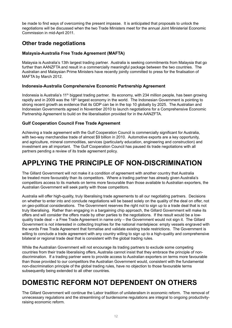be made to find ways of overcoming the present impasse. It is anticipated that proposals to unlock the negotiations will be discussed when the two Trade Ministers meet for the annual Joint Ministerial Economic Commission in mid-April 2011.

#### **Other trade negotiations**

#### **Malaysia-Australia Free Trade Agreement (MAFTA)**

Malaysia is Australia's 13th largest trading partner. Australia is seeking commitments from Malaysia that go further than AANZFTA and result in a commercially meaningful package between the two countries. The Australian and Malaysian Prime Ministers have recently jointly committed to press for the finalisation of MAFTA by March 2012.

#### **Indonesia-Australia Comprehensive Economic Partnership Agreement**

Indonesia is Australia's 11<sup>th</sup> biggest trading partner. Its economy, with 234 million people, has been growing rapidly and in 2009 was the 18<sup>th</sup> largest economy in the world. The Indonesian Government is pointing to strong recent growth as evidence that its GDP can be in the top 10 globally by 2025. The Australian and Indonesian Governments agreed in November 2010 to launch negotiations for a Comprehensive Economic Partnership Agreement to build on the liberalisation provided for in the AANZFTA.

#### **Gulf Cooperation Council Free Trade Agreement**

Achieving a trade agreement with the Gulf Cooperation Council is commercially significant for Australia, with two-way merchandise trade of almost \$9 billion in 2010. Automotive exports are a key opportunity, and agriculture, mineral commodities, services (particularly education, engineering and construction) and investment are all important. The Gulf Cooperation Council has paused its trade negotiations with all partners pending a review of its trade agreement policy.

## **APPLYING THE PRINCIPLE OF NON-DISCRIMINATION**

The Gillard Government will not make it a condition of agreement with another country that Australia be treated more favourably than its competitors. Where a trading partner has already given Australia's competitors access to its markets on terms more favourable than those available to Australian exporters, the Australian Government will seek parity with those competitors.

Australia will offer high-quality, truly liberalising trade agreements to all our negotiating partners. Decisions on whether to enter into and conclude negotiations will be based solely on the quality of the deal on offer, not on geo-political considerations. The Government reserves the right not to sign up to a trade deal that is not truly liberalising. Rather than engaging in a bargaining chip approach, the Gillard Government will make its offers and will consider the offers made by other parties to the negotiations. If the result would be a lowquality trade deal – a Free Trade Agreement in name only – the Government would not sign it. The Gillard Government is not interested in collecting trophies for the national mantelpiece: empty vessels engraved with the words Free Trade Agreement that formalise and validate existing trade restrictions. The Government is willing to conclude a trade agreement with any country willing to sign up to a high-quality and comprehensive bilateral or regional trade deal that is consistent with the global trading rules.

While the Australian Government will not encourage its trading partners to exclude some competing countries from their trade liberalising offers, Australia cannot insist that they embrace the principle of nondiscrimination. If a trading partner were to provide access to Australian exporters on terms more favourable than those provided to our competitors the Australian Government would, consistent with the fundamental non-discrimination principle of the global trading rules, have no objection to those favourable terms subsequently being extended to all other countries.

## **DOMESTIC REFORM NOT DEPENDENT ON OTHERS**

The Gillard Government will continue the Labor tradition of unilateralism in economic reform. The removal of unnecessary regulations and the streamlining of burdensome regulations are integral to ongoing productivityraising economic reform.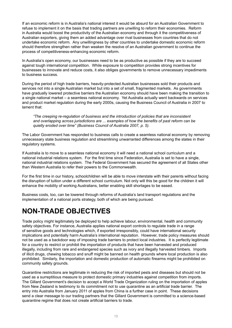If an economic reform is in Australia's national interest it would be absurd for an Australian Government to refuse to implement it on the basis that trading partners are unwilling to reform their economies. Reform in Australia would boost the productivity of the Australian economy and through it the competitiveness of Australian exporters, giving them an added advantage over rival businesses from countries that do not undertake economic reform. Any unwillingness by other countries to undertake domestic economic reform should therefore strengthen rather than weaken the resolve of an Australian government to continue the process of competitiveness-enhancing economic reform.

In Australia's open economy, our businesses need to be as productive as possible if they are to succeed against tough international competition. While exposure to competition provides strong incentives for businesses to innovate and reduce costs, it also obliges governments to remove unnecessary impediments to business success.

During the period of high trade barriers, heavily-protected Australian businesses sold their products and services not into a single Australian market but into a set of small, fragmented markets. As governments have gradually lowered protective barriers the Australian economy should have been making the transition to a single national market – a seamless national economy. Yet Australia actually went backwards on services and product market regulation during the early 2000s, causing the Business Council of Australia in 2007 to lament that:

*"The creeping re-regulation of business and the introduction of policies that are inconsistent and overlapping across jurisdictions are ... examples of how the benefits of past reform can be quietly eroded over time" (Business Council of Australia 2007, p. 5).* 

The Labor Government has responded to business calls to create a seamless national economy by removing unnecessary state business regulation and streamlining unwarranted differences among the states in their regulatory systems.

If Australia is to move to a seamless national economy it will need a national school curriculum and a national industrial relations system. For the first time since Federation, Australia is set to have a single, national industrial relations system. The Federal Government has secured the agreement of all States other than Western Australia to refer their powers to the Commonwealth.

For the first time in our history, schoolchildren will be able to move interstate with their parents without facing the disruption of tuition under a different school curriculum. Not only will this be good for the children it will enhance the mobility of working Australians, better enabling skill shortages to be eased.

Business costs, too, can be lowered through reforms of Australia's land transport regulations and the implementation of a national ports strategy, both of which are being pursued.

## **NON-TRADE OBJECTIVES**

Trade policy might legitimately be deployed to help achieve labour, environmental, health and community safety objectives. For instance, Australia applies national export controls to regulate trade in a range of sensitive goods and technologies which, if exported irresponsibly, could have international security implications and potentially harm Australia's international reputation. However, trade policy measures should not be used as a backdoor way of imposing trade barriers to protect local industries. It is perfectly legitimate for a country to restrict or prohibit the importation of products that have been harvested and produced illegally, including from rare and endangered species such as ivory and illegally harvested timbers. Imports of illicit drugs, chewing tobacco and snuff might be banned on health grounds where local production is also prohibited. Similarly, the importation and domestic production of automatic firearms might be prohibited on community safety grounds.

Quarantine restrictions are legitimate in reducing the risk of imported pests and diseases but should not be used as a surreptitious measure to protect domestic primary industries against competition from imports. The Gillard Government's decision to accept a World Trade Organization ruling on the importation of apples from New Zealand is testimony to its commitment not to use quarantine as an artificial trade barrier. The entry into Australia from January 2011 of apples from China is a further case in point. These decisions send a clear message to our trading partners that the Gillard Government is committed to a science-based quarantine regime that does not create artificial barriers to trade.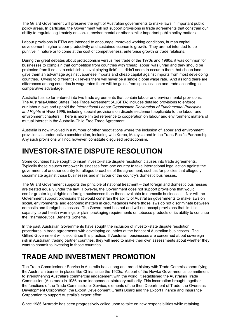The Gillard Government will preserve the right of Australian governments to make laws in important public policy areas. In particular, the Government will not support provisions in trade agreements that constrain our ability to regulate legitimately on social, environmental or other similar important public policy matters.

Labour provisions in FTAs are intended to encourage improved working conditions, human capital development, higher labour productivity and sustained economic growth. They are not intended to be punitive in nature or to come at the cost of competiveness, enterprise growth or trade relations.

During the great debates about protectionism versus free trade of the 1970s and 1980s, it was common for businesses to complain that competition from countries with 'cheap labour' was unfair and they should be protected from it so as to establish 'a level playing field'. It didn't seem to occur to them that cheap land gave them an advantage against Japanese imports and cheap capital against imports from most developing countries. Owing to different skill levels there will never be a single global wage rate. And as long there are differences among countries in wage rates there will be gains from specialisation and trade according to comparative advantage.

Australia has so far entered into two trade agreements that contain labour and environmental provisions. The Australia-United States Free Trade Agreement (AUSFTA) includes detailed provisions to enforce our labour laws and uphold the *International Labour Organisation Declaration of Fundamental Principles and Rights at Work 1998*, including special provisions on dispute settlement applicable to the labour and environment chapters. There is more limited reference to cooperation on labour and environment matters of mutual interest in the Australia-Chile Free Trade Agreement.

Australia is now involved in a number of other negotiations where the inclusion of labour and environment provisions is under active consideration, including with Korea, Malaysia and in the Trans-Pacific Partnership. Any such provisions will not, however, constitute disguised protectionism.

## **INVESTOR-STATE DISPUTE RESOLUTION**

Some countries have sought to insert investor-state dispute resolution clauses into trade agreements. Typically these clauses empower businesses from one country to take international legal action against the government of another country for alleged breaches of the agreement, such as for policies that allegedly discriminate against those businesses and in favour of the country's domestic businesses.

The Gillard Government supports the principle of national treatment – that foreign and domestic businesses are treated equally under the law. However, the Government does not support provisions that would confer greater legal rights on foreign businesses than those available to domestic businesses. Nor will the Government support provisions that would constrain the ability of Australian governments to make laws on social, environmental and economic matters in circumstances where those laws do not discriminate between domestic and foreign businesses. The Government has not and will not accept provisions that limit its capacity to put health warnings or plain packaging requirements on tobacco products or its ability to continue the Pharmaceutical Benefits Scheme.

In the past, Australian Governments have sought the inclusion of investor-state dispute resolution procedures in trade agreements with developing countries at the behest of Australian businesses. The Gillard Government will discontinue this practice. If Australian businesses are concerned about sovereign risk in Australian trading partner countries, they will need to make their own assessments about whether they want to commit to investing in those countries.

## **TRADE AND INVESTMENT PROMOTION**

The Trade Commissioner Service in Australia has a long and proud history with Trade Commissioners flying the Australian banner in places like China since the 1920s. As part of the Hawke Government's commitment to strengthening Australia's commercial engagement with the world, it established the Australian Trade Commission (Austrade) in 1986 as an independent statutory authority. This incarnation brought together the functions of the Trade Commissioner Service, elements of the then Department of Trade, the Overseas Development Corporation, the Export Development Grants Board and the Export Finance and Insurance Corporation to support Australia's export effort.

Since 1986 Austrade has been progressively called upon to take on new responsibilities while retaining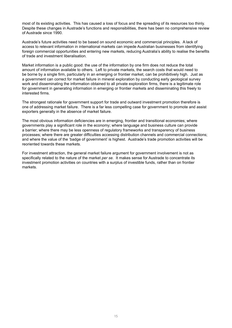most of its existing activities. This has caused a loss of focus and the spreading of its resources too thinly. Despite these changes in Austrade's functions and responsibilities, there has been no comprehensive review of Austrade since 1990.

Austrade's future activities need to be based on sound economic and commercial principles. A lack of access to relevant information in international markets can impede Australian businesses from identifying foreign commercial opportunities and entering new markets, reducing Australia's ability to realise the benefits of trade and investment liberalisation.

Market information is a public good: the use of the information by one firm does not reduce the total amount of information available to others. Left to private markets, the search costs that would need to be borne by a single firm, particularly in an emerging or frontier market, can be prohibitively high. Just as a government can correct for market failure in mineral exploration by conducting early geological survey work and disseminating the information obtained to all private exploration firms, there is a legitimate role for government in generating information in emerging or frontier markets and disseminating this freely to interested firms.

The strongest rationale for government support for trade and outward investment promotion therefore is one of addressing market failure. There is a far less compelling case for government to promote and assist exporters generally in the absence of market failure.

The most obvious information deficiencies are in emerging, frontier and transitional economies; where governments play a significant role in the economy; where language and business culture can provide a barrier; where there may be less openness of regulatory frameworks and transparency of business processes; where there are greater difficulties accessing distribution channels and commercial connections; and where the value of the 'badge of government' is highest. Austrade's trade promotion activities will be reoriented towards these markets.

For investment attraction, the general market failure argument for government involvement is not as specifically related to the nature of the market *per se*. It makes sense for Austrade to concentrate its investment promotion activities on countries with a surplus of investible funds, rather than on frontier markets.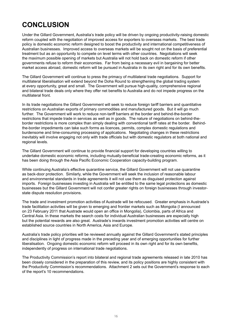# **CONCLUSION**

Under the Gillard Government, Australia's trade policy will be driven by ongoing productivity-raising domestic reform coupled with the negotiation of improved access for exporters to overseas markets. The best trade policy is domestic economic reform designed to boost the productivity and international competitiveness of Australian businesses. Improved access to overseas markets will be sought not on the basis of preferential treatment but as an opportunity to compete on level terms with other countries. Negotiations will seek the maximum possible opening of markets but Australia will not hold back on domestic reform if other governments refuse to reform their economies. Far from being a necessary evil in bargaining for better market access abroad, domestic reform will be pursued in Australia in its own right and for its own benefits.

The Gillard Government will continue to press the primacy of multilateral trade negotiations. Support for multilateral liberalisation will extend beyond the Doha Round to strengthening the global trading system at every opportunity, great and small. The Government will pursue high-quality, comprehensive regional and bilateral trade deals only where they offer net benefits to Australia and do not impede progress on the multilateral front.

In its trade negotiations the Gillard Government will seek to reduce foreign tariff barriers and quantitative restrictions on Australian exports of primary commodities and manufactured goods. But it will go much further. The Government will work to reduce non-tariff barriers at the border and behind-the-border restrictions that impede trade in services as well as in goods. The nature of negotiations on behind-theborder restrictions is more complex than simply dealing with conventional tariff rates at the border. Behindthe-border impediments can take such forms as licences, permits, complex domestic regulations and burdensome and time-consuming processing of applications. Negotiating changes in these restrictions inevitably will involve engaging not only with trade officials but with domestic regulators at both national and regional levels.

The Gillard Government will continue to provide financial support for developing countries willing to undertake domestic economic reforms, including mutually-beneficial trade-creating economic reforms, as it has been doing through the Asia Pacific Economic Cooperation capacity-building program.

While continuing Australia's effective quarantine service, the Gillard Government will not use quarantine as back-door protection. Similarly, while the Government will seek the inclusion of reasonable labour and environmental standards in trade agreements it will not use them as disguised protection against imports. Foreign businesses investing in Australia will be entitled to the same legal protections as domestic businesses but the Gillard Government will not confer greater rights on foreign businesses through investorstate dispute resolution provisions.

The trade and investment promotion activities of Austrade will be refocused. Greater emphasis in Austrade's trade facilitation activities will be given to emerging and frontier markets such as Mongolia (I announced on 23 February 2011 that Austrade would open an office in Mongolia), Colombia, parts of Africa and Central Asia. In these markets the search costs for individual Australian businesses are especially high but the potential rewards are also great. Austrade's inwards investment promotion activities will centre on established source countries in North America, Asia and Europe.

Australia's trade policy priorities will be reviewed annually against the Gillard Government's stated principles and disciplines in light of progress made in the preceding year and of emerging opportunities for further liberalisation. Ongoing domestic economic reform will proceed in its own right and for its own benefits, independently of progress on international trade negotiations.

The Productivity Commission's report into bilateral and regional trade agreements released in late 2010 has been closely considered in the preparation of this review, and its policy positions are highly consistent with the Productivity Commission's recommendations. Attachment 2 sets out the Government's response to each of the report's 10 recommendations.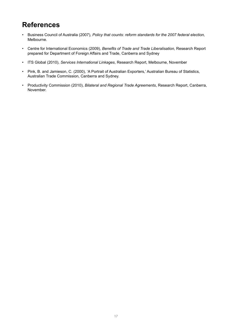## **References**

- Business Council of Australia (2007), *Policy that counts: reform standards for the 2007 federal election,* Melbourne.
- Centre for International Economics (2009), *Benefits of Trade and Trade Liberalisation,* Research Report prepared for Department of Foreign Affairs and Trade, Canberra and Sydney
- ITS Global (2010), *Services International Linkages*, Research Report, Melbourne, November
- Pink, B. and Jamieson, C. (2000), 'A Portrait of Australian Exporters,' Australian Bureau of Statistics, Australian Trade Commission, Canberra and Sydney.
- Productivity Commission (2010), *Bilateral and Regional Trade Agreements*, Research Report, Canberra, November.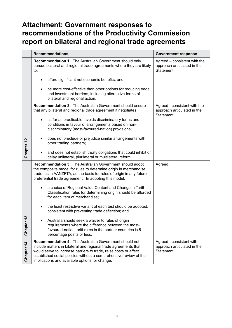## **Attachment: Government responses to recommendations of the Productivity Commission report on bilateral and regional trade agreements**

|                       | <b>Recommendations</b>                                                                                                                                                                                                                                                                                                      | <b>Government response</b>                                                |
|-----------------------|-----------------------------------------------------------------------------------------------------------------------------------------------------------------------------------------------------------------------------------------------------------------------------------------------------------------------------|---------------------------------------------------------------------------|
|                       | <b>Recommendation 1: The Australian Government should only</b><br>pursue bilateral and regional trade agreements where they are likely<br>to:                                                                                                                                                                               | Agreed – consistent with the<br>approach articulated in the<br>Statement. |
|                       | afford significant net economic benefits; and                                                                                                                                                                                                                                                                               |                                                                           |
|                       | be more cost-effective than other options for reducing trade<br>and investment barriers, including alternative forms of<br>bilateral and regional action.                                                                                                                                                                   |                                                                           |
|                       | <b>Recommendation 2:</b> The Australian Government should ensure<br>that any bilateral and regional trade agreement it negotiates:                                                                                                                                                                                          | Agreed - consistent with the<br>approach articulated in the<br>Statement. |
|                       | as far as practicable, avoids discriminatory terms and<br>conditions in favour of arrangements based on non-<br>discriminatory (most-favoured-nation) provisions;                                                                                                                                                           |                                                                           |
|                       | does not preclude or prejudice similar arrangements with<br>other trading partners;                                                                                                                                                                                                                                         |                                                                           |
| Chapter 12            | and does not establish treaty obligations that could inhibit or<br>delay unilateral, plurilateral or multilateral reform.                                                                                                                                                                                                   |                                                                           |
|                       | <b>Recommendation 3: The Australian Government should adopt</b><br>the composite model for rules to determine origin in merchandise<br>trade, as in AANZFTA, as the basis for rules of origin in any future<br>preferential trade agreement. In adopting this model:                                                        | Agreed.                                                                   |
|                       | a choice of Regional Value Content and Change in Tariff<br>Classification rules for determining origin should be afforded<br>for each item of merchandise;                                                                                                                                                                  |                                                                           |
|                       | the least restrictive variant of each test should be adopted,<br>consistent with preventing trade deflection; and                                                                                                                                                                                                           |                                                                           |
| ო<br>Chapte           | Australia should seek a waiver to rules of origin<br>requirements where the difference between the most-<br>favoured-nation tariff rates in the partner countries is 5<br>percentage points or less.                                                                                                                        |                                                                           |
| Chapter <sub>14</sub> | <b>Recommendation 4: The Australian Government should not</b><br>include matters in bilateral and regional trade agreements that<br>would serve to increase barriers to trade, raise costs or affect<br>established social policies without a comprehensive review of the<br>implications and available options for change. | Agreed - consistent with<br>approach articulated in the<br>Statement.     |